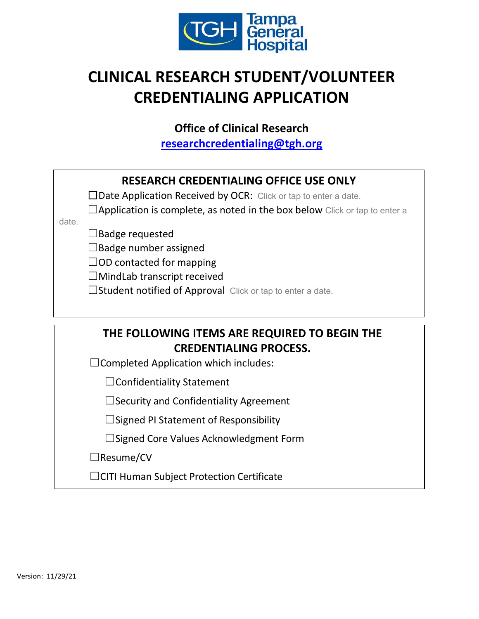

# **CLINICAL RESEARCH STUDENT/VOLUNTEER CREDENTIALING APPLICATION**

**Office of Clinical Research**

**[researchcredentialing@tgh.org](mailto:researchcredentialing@tgh.org)**

|       | <b>RESEARCH CREDENTIALING OFFICE USE ONLY</b><br>$\Box$ Date Application Received by OCR: Click or tap to enter a date. |
|-------|-------------------------------------------------------------------------------------------------------------------------|
|       | $\Box$ Application is complete, as noted in the box below Click or tap to enter a                                       |
| date. |                                                                                                                         |
|       | Badge requested                                                                                                         |
|       | $\Box$ Badge number assigned                                                                                            |
|       | $\Box$ OD contacted for mapping                                                                                         |
|       | $\Box$ MindLab transcript received                                                                                      |
|       | $\Box$ Student notified of Approval Click or tap to enter a date.                                                       |
|       |                                                                                                                         |
|       |                                                                                                                         |
|       | THE FOLLOWING ITEMS ARE REQUIRED TO BEGIN THE                                                                           |
|       | <b>CREDENTIALING PROCESS.</b>                                                                                           |
|       | $\Box$ Completed Application which includes:                                                                            |
|       | $\Box$ Confidentiality Statement                                                                                        |
|       | Security and Confidentiality Agreement                                                                                  |

☐Signed PI Statement of Responsibility

☐Signed Core Values Acknowledgment Form

☐Resume/CV

☐CITI Human Subject Protection Certificate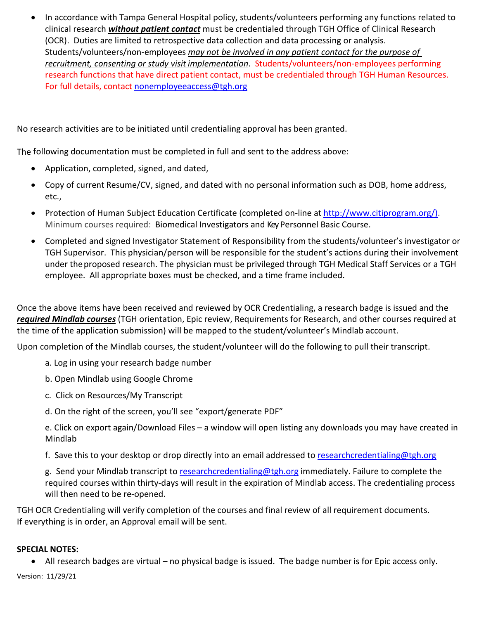• In accordance with Tampa General Hospital policy, students/volunteers performing any functions related to clinical research *without patient contact* must be credentialed through TGH Office of Clinical Research (OCR). Duties are limited to retrospective data collection and data processing or analysis. Students/volunteers/non-employees *may not be involved in any patient contact for the purpose of recruitment, consenting or study visit implementation*. Students/volunteers/non-employees performing research functions that have direct patient contact, must be credentialed through TGH Human Resources. For full details, contact [nonemployeeaccess@tgh.org](mailto:nonemployeeaccess@tgh.org)

No research activities are to be initiated until credentialing approval has been granted.

The following documentation must be completed in full and sent to the address above:

- Application, completed, signed, and dated,
- Copy of current Resume/CV, signed, and dated with no personal information such as DOB, home address, etc.,
- Protection of Human Subject Education Certificate (completed on-line at [http://www.citiprogram.org/\)](http://www.citiprogram.org/). Minimum courses required: Biomedical Investigators and KeyPersonnel Basic Course.
- Completed and signed Investigator Statement of Responsibility from the students/volunteer's investigator or TGH Supervisor. This physician/person will be responsible for the student's actions during their involvement under theproposed research. The physician must be privileged through TGH Medical Staff Services or a TGH employee. All appropriate boxes must be checked, and a time frame included.

Once the above items have been received and reviewed by OCR Credentialing, a research badge is issued and the *required Mindlab courses* (TGH orientation, Epic review, Requirements for Research, and other courses required at the time of the application submission) will be mapped to the student/volunteer's Mindlab account.

Upon completion of the Mindlab courses, the student/volunteer will do the following to pull their transcript.

- a. Log in using your research badge number
- b. Open Mindlab using Google Chrome
- c. Click on Resources/My Transcript
- d. On the right of the screen, you'll see "export/generate PDF"
- e. Click on export again/Download Files a window will open listing any downloads you may have created in Mindlab
- f. Save this to your desktop or drop directly into an email addressed to [researchcredentialing@tgh.org](mailto:researchcredentialing@tgh.org)

g. Send your Mindlab transcript t[o researchcredentialing@tgh.org](mailto:researchcredentialing@tgh.org) immediately. Failure to complete the required courses within thirty-days will result in the expiration of Mindlab access. The credentialing process will then need to be re-opened.

TGH OCR Credentialing will verify completion of the courses and final review of all requirement documents. If everything is in order, an Approval email will be sent.

## **SPECIAL NOTES:**

• All research badges are virtual – no physical badge is issued. The badge number is for Epic access only.

Version: 11/29/21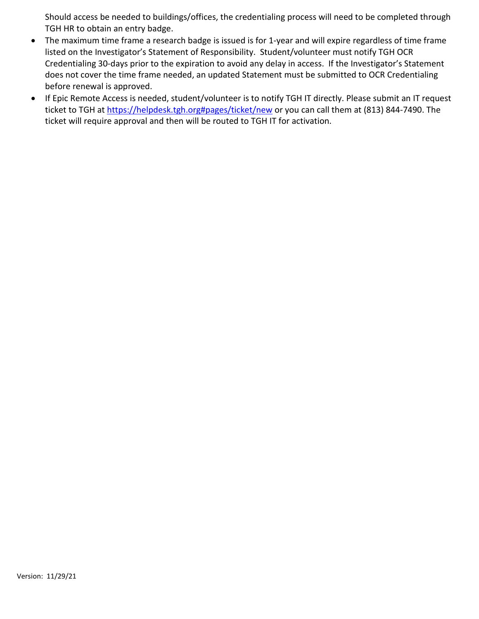Should access be needed to buildings/offices, the credentialing process will need to be completed through TGH HR to obtain an entry badge.

- The maximum time frame a research badge is issued is for 1-year and will expire regardless of time frame listed on the Investigator's Statement of Responsibility. Student/volunteer must notify TGH OCR Credentialing 30-days prior to the expiration to avoid any delay in access. If the Investigator's Statement does not cover the time frame needed, an updated Statement must be submitted to OCR Credentialing before renewal is approved.
- If Epic Remote Access is needed, student/volunteer is to notify TGH IT directly. Please submit an IT request ticket to TGH at [https://helpdesk.tgh.org#pages/ticket/new](https://helpdesk.tgh.org/#pages/ticket/new) or you can call them at (813) 844-7490. The ticket will require approval and then will be routed to TGH IT for activation.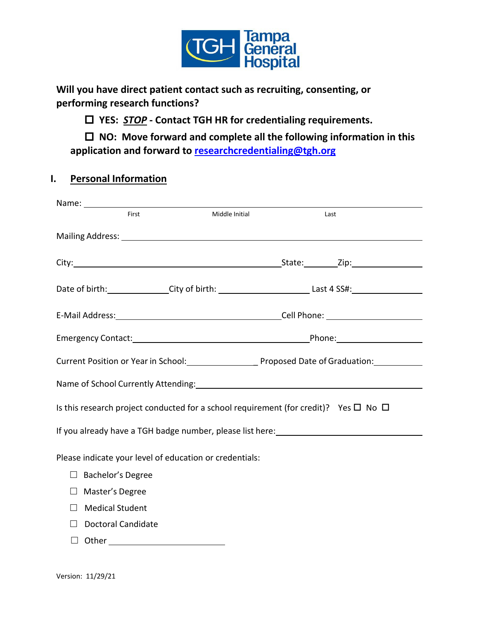

**Will you have direct patient contact such as recruiting, consenting, or performing research functions?** 

**YES:** *STOP* **- Contact TGH HR for credentialing requirements.**

 **NO: Move forward and complete all the following information in this application and forward to [researchcredentialing@tgh.org](mailto:researchcredentialing@tgh.org)**

# **I. Personal Information**

| First                                                                                          | Middle Initial | Last |  |  |  |  |  |
|------------------------------------------------------------------------------------------------|----------------|------|--|--|--|--|--|
|                                                                                                |                |      |  |  |  |  |  |
|                                                                                                |                |      |  |  |  |  |  |
|                                                                                                |                |      |  |  |  |  |  |
|                                                                                                |                |      |  |  |  |  |  |
|                                                                                                |                |      |  |  |  |  |  |
| Current Position or Year in School: Proposed Date of Graduation:                               |                |      |  |  |  |  |  |
|                                                                                                |                |      |  |  |  |  |  |
| Is this research project conducted for a school requirement (for credit)? Yes $\Box$ No $\Box$ |                |      |  |  |  |  |  |
| If you already have a TGH badge number, please list here:<br>                                  |                |      |  |  |  |  |  |
| Please indicate your level of education or credentials:                                        |                |      |  |  |  |  |  |
| $\Box$ Bachelor's Degree                                                                       |                |      |  |  |  |  |  |
| Master's Degree<br>$\Box$                                                                      |                |      |  |  |  |  |  |
| <b>Medical Student</b><br>$\perp$                                                              |                |      |  |  |  |  |  |
| Doctoral Candidate<br>$\perp$                                                                  |                |      |  |  |  |  |  |
|                                                                                                |                |      |  |  |  |  |  |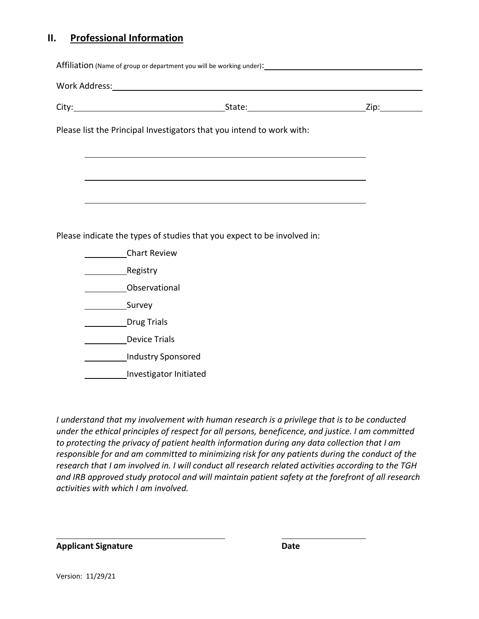# **II. Professional Information**

| Please list the Principal Investigators that you intend to work with:                                            |  |
|------------------------------------------------------------------------------------------------------------------|--|
|                                                                                                                  |  |
| and the control of the control of the control of the control of the control of the control of the control of the |  |
|                                                                                                                  |  |
|                                                                                                                  |  |
|                                                                                                                  |  |
| Please indicate the types of studies that you expect to be involved in:                                          |  |
| <b>Chart Review</b>                                                                                              |  |
| Registry                                                                                                         |  |
| Observational                                                                                                    |  |
|                                                                                                                  |  |
| Drug Trials                                                                                                      |  |
| Device Trials                                                                                                    |  |
| Industry Sponsored                                                                                               |  |
| Investigator Initiated                                                                                           |  |

*I understand that my involvement with human research is a privilege that is to be conducted under the ethical principles of respect for all persons, beneficence, and justice. I am committed to protecting the privacy of patient health information during any data collection that I am responsible for and am committed to minimizing risk for any patients during the conduct of the research that I am involved in. I will conduct all research related activities according to the TGH and IRB approved study protocol and will maintain patient safety at the forefront of all research activities with which I am involved.*

**Applicant Signature Date**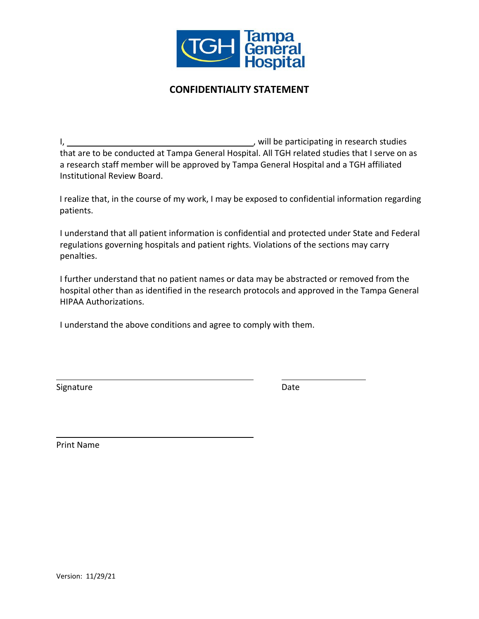

# **CONFIDENTIALITY STATEMENT**

I, , will be participating in research studies that are to be conducted at Tampa General Hospital. All TGH related studies that I serve on as a research staff member will be approved by Tampa General Hospital and a TGH affiliated Institutional Review Board.

I realize that, in the course of my work, I may be exposed to confidential information regarding patients.

I understand that all patient information is confidential and protected under State and Federal regulations governing hospitals and patient rights. Violations of the sections may carry penalties.

I further understand that no patient names or data may be abstracted or removed from the hospital other than as identified in the research protocols and approved in the Tampa General HIPAA Authorizations.

I understand the above conditions and agree to comply with them.

Signature Date Date Date

Print Name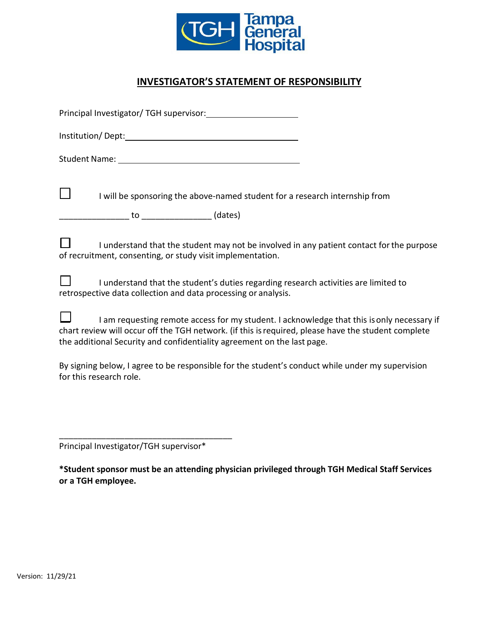

# **INVESTIGATOR'S STATEMENT OF RESPONSIBILITY**

| $\Box$<br>I will be sponsoring the above-named student for a research internship from                                                                                                                                                                                        |
|------------------------------------------------------------------------------------------------------------------------------------------------------------------------------------------------------------------------------------------------------------------------------|
| $\Box$<br>I understand that the student may not be involved in any patient contact for the purpose<br>of recruitment, consenting, or study visit implementation.                                                                                                             |
| $\Box$ I understand that the student's duties regarding research activities are limited to<br>retrospective data collection and data processing or analysis.                                                                                                                 |
| I am requesting remote access for my student. I acknowledge that this is only necessary if<br>chart review will occur off the TGH network. (if this is required, please have the student complete<br>the additional Security and confidentiality agreement on the last page. |
| By signing below, I agree to be responsible for the student's conduct while under my supervision<br>for this research role.                                                                                                                                                  |
|                                                                                                                                                                                                                                                                              |
|                                                                                                                                                                                                                                                                              |

Principal Investigator/TGH supervisor\*

\_\_\_\_\_\_\_\_\_\_\_\_\_\_\_\_\_\_\_\_\_\_\_\_\_\_\_\_\_\_\_\_\_\_\_\_\_

**\*Student sponsor must be an attending physician privileged through TGH Medical Staff Services or a TGH employee.**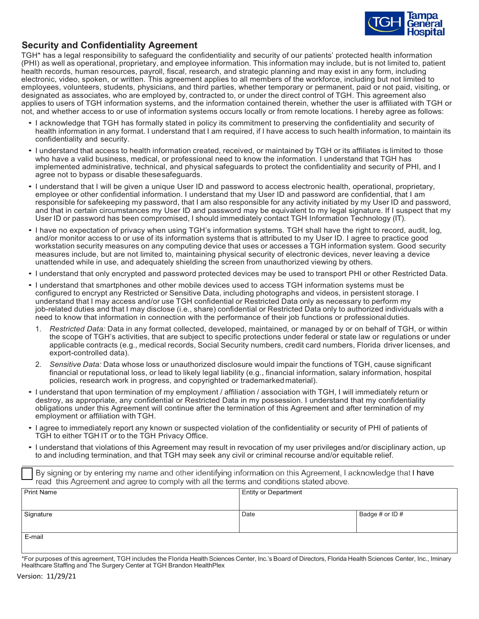

## **Security and Confidentiality Agreement**

TGH\* has a legal responsibility to safeguard the confidentiality and security of our patients' protected health information (PHI) as well as operational, proprietary, and employee information. This information may include, but is not limited to, patient health records, human resources, payroll, fiscal, research, and strategic planning and may exist in any form, including electronic, video, spoken, or written. This agreement applies to all members of the workforce, including but not limited to employees, volunteers, students, physicians, and third parties, whether temporary or permanent, paid or not paid, visiting, or designated as associates, who are employed by, contracted to, or under the direct control of TGH. This agreement also applies to users of TGH information systems, and the information contained therein, whether the user is affiliated with TGH or not, and whether access to or use of information systems occurs locally or from remote locations. I hereby agree as follows:

- I acknowledge that TGH has formally stated in policy its commitment to preserving the confidentiality and security of health information in any format. I understand that I am required, if I have access to such health information, to maintain its confidentiality and security.
- I understand that access to health information created, received, or maintained by TGH or its affiliates is limited to those who have a valid business, medical, or professional need to know the information. I understand that TGH has implemented administrative, technical, and physical safeguards to protect the confidentiality and security of PHI, and I agree not to bypass or disable thesesafeguards.
- I understand that I will be given a unique User ID and password to access electronic health, operational, proprietary, employee or other confidential information. I understand that my User ID and password are confidential, that I am responsible for safekeeping my password, that I am also responsible for any activity initiated by my User ID and password, and that in certain circumstances my User ID and password may be equivalent to my legal signature. If I suspect that my User ID or password has been compromised, I should immediately contact TGH Information Technology (IT).
- I have no expectation of privacy when using TGH's information systems. TGH shall have the right to record, audit, log, and/or monitor access to or use of its information systems that is attributed to my User ID. I agree to practice good workstation security measures on any computing device that uses or accesses a TGH information system. Good security measures include, but are not limited to, maintaining physical security of electronic devices, never leaving a device unattended while in use, and adequately shielding the screen from unauthorized viewing by others.
- I understand that only encrypted and password protected devices may be used to transport PHI or other Restricted Data.
- I understand that smartphones and other mobile devices used to access TGH information systems must be configured to encrypt any Restricted or Sensitive Data, including photographs and videos, in persistent storage. I understand that I may access and/or use TGH confidential or Restricted Data only as necessary to perform my job-related duties and that I may disclose (i.e., share) confidential or Restricted Data only to authorized individuals with a need to know that information in connection with the performance of their job functions or professionalduties.
	- 1. *Restricted Data:* Data in any format collected, developed, maintained, or managed by or on behalf of TGH, or within the scope of TGH's activities, that are subject to specific protections under federal or state law or regulations or under applicable contracts (e.g., medical records, Social Security numbers, credit card numbers, Florida driver licenses, and export-controlled data).
	- 2. *Sensitive Data:* Data whose loss or unauthorized disclosure would impair the functions of TGH, cause significant financial or reputational loss, or lead to likely legal liability (e.g., financial information, salary information, hospital policies, research work in progress, and copyrighted or trademarkedmaterial).
- I understand that upon termination of my employment / affiliation / association with TGH, I will immediately return or destroy, as appropriate, any confidential or Restricted Data in my possession. I understand that my confidentiality obligations under this Agreement will continue after the termination of this Agreement and after termination of my employment or affiliation with TGH.
- I agree to immediately report any known or suspected violation of the confidentiality or security of PHI of patients of TGH to either TGH IT or to the TGH Privacy Office.
- I understand that violations of this Agreement may result in revocation of my user privileges and/or disciplinary action, up to and including termination, and that TGH may seek any civil or criminal recourse and/or equitable relief.

By signing or by entering my name and other identifying information on this Agreement, I acknowledge that I have read this Agreement and agree to comply with all the terms and conditions stated above.

| <b>Print Name</b> | <b>Entity or Department</b> |                 |
|-------------------|-----------------------------|-----------------|
| Signature         | Date                        | Badge # or ID # |
| E-mail            |                             |                 |

 $\overline{\Gamma}$ 

<sup>\*</sup>For purposes of this agreement, TGH includes the Florida HealthSciences Center, Inc.'s Board of Directors, Florida Health Sciences Center, Inc., Iminary Healthcare Staffing and The Surgery Center at TGH Brandon HealthPlex